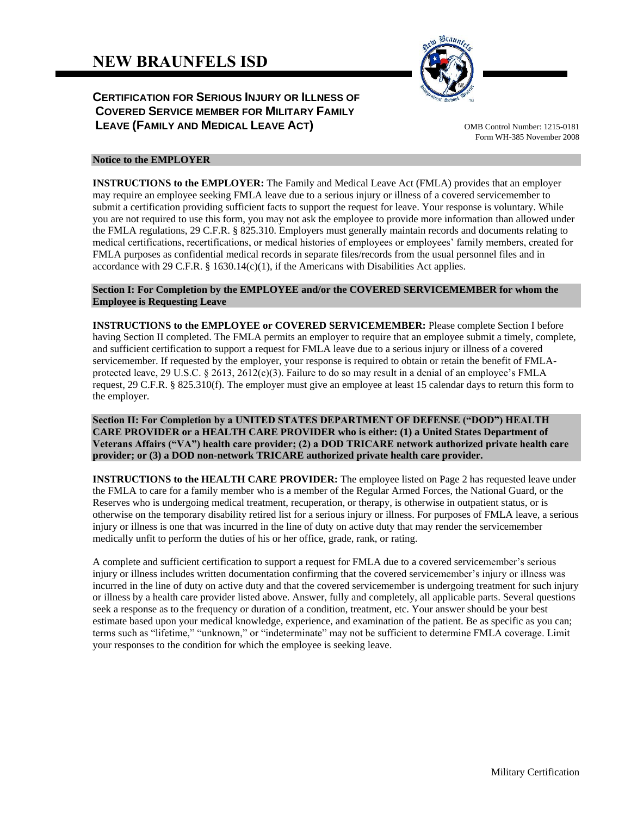**CERTIFICATION FOR SERIOUS INJURY OR ILLNESS OF COVERED SERVICE MEMBER FOR MILITARY FAMILY LEAVE (FAMILY AND MEDICAL LEAVE ACT)** OMB Control Number: 1215-0181



Form WH-385 November 2008

### **Notice to the EMPLOYER**

**INSTRUCTIONS to the EMPLOYER:** The Family and Medical Leave Act (FMLA) provides that an employer may require an employee seeking FMLA leave due to a serious injury or illness of a covered servicemember to submit a certification providing sufficient facts to support the request for leave. Your response is voluntary. While you are not required to use this form, you may not ask the employee to provide more information than allowed under the FMLA regulations, 29 C.F.R. § 825.310. Employers must generally maintain records and documents relating to medical certifications, recertifications, or medical histories of employees or employees' family members, created for FMLA purposes as confidential medical records in separate files/records from the usual personnel files and in accordance with 29 C.F.R.  $\S$  1630.14(c)(1), if the Americans with Disabilities Act applies.

**Section I: For Completion by the EMPLOYEE and/or the COVERED SERVICEMEMBER for whom the Employee is Requesting Leave**

**INSTRUCTIONS to the EMPLOYEE or COVERED SERVICEMEMBER:** Please complete Section I before having Section II completed. The FMLA permits an employer to require that an employee submit a timely, complete, and sufficient certification to support a request for FMLA leave due to a serious injury or illness of a covered servicemember. If requested by the employer, your response is required to obtain or retain the benefit of FMLAprotected leave, 29 U.S.C. § 2613, 2612(c)(3). Failure to do so may result in a denial of an employee's FMLA request, 29 C.F.R. § 825.310(f). The employer must give an employee at least 15 calendar days to return this form to the employer.

**Section II: For Completion by a UNITED STATES DEPARTMENT OF DEFENSE ("DOD") HEALTH CARE PROVIDER or a HEALTH CARE PROVIDER who is either: (1) a United States Department of Veterans Affairs ("VA") health care provider; (2) a DOD TRICARE network authorized private health care provider; or (3) a DOD non-network TRICARE authorized private health care provider.**

**INSTRUCTIONS to the HEALTH CARE PROVIDER:** The employee listed on Page 2 has requested leave under the FMLA to care for a family member who is a member of the Regular Armed Forces, the National Guard, or the Reserves who is undergoing medical treatment, recuperation, or therapy, is otherwise in outpatient status, or is otherwise on the temporary disability retired list for a serious injury or illness. For purposes of FMLA leave, a serious injury or illness is one that was incurred in the line of duty on active duty that may render the servicemember medically unfit to perform the duties of his or her office, grade, rank, or rating.

A complete and sufficient certification to support a request for FMLA due to a covered servicemember's serious injury or illness includes written documentation confirming that the covered servicemember's injury or illness was incurred in the line of duty on active duty and that the covered servicemember is undergoing treatment for such injury or illness by a health care provider listed above. Answer, fully and completely, all applicable parts. Several questions seek a response as to the frequency or duration of a condition, treatment, etc. Your answer should be your best estimate based upon your medical knowledge, experience, and examination of the patient. Be as specific as you can; terms such as "lifetime," "unknown," or "indeterminate" may not be sufficient to determine FMLA coverage. Limit your responses to the condition for which the employee is seeking leave.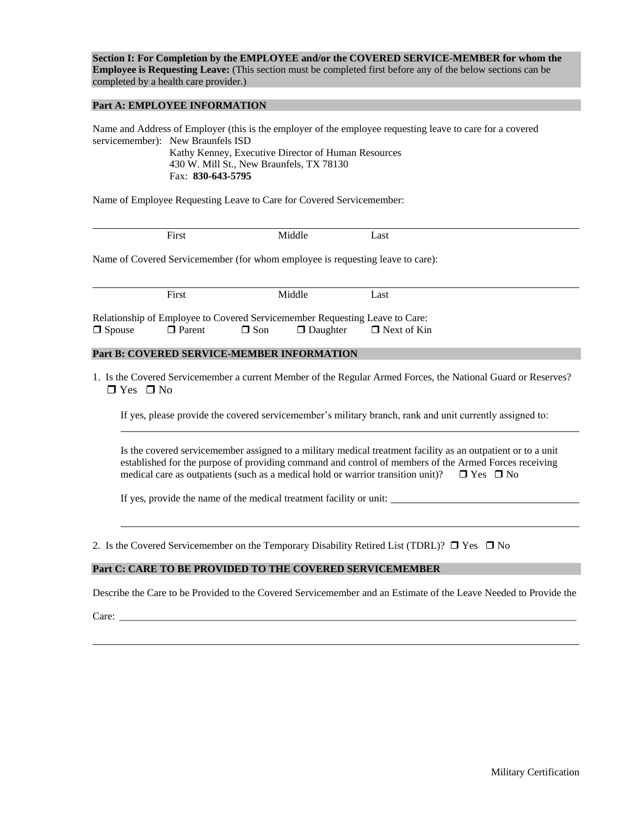**Section I: For Completion by the EMPLOYEE and/or the COVERED SERVICE-MEMBER for whom the Employee is Requesting Leave:** (This section must be completed first before any of the below sections can be completed by a health care provider.)

### **Part A: EMPLOYEE INFORMATION**

Name and Address of Employer (this is the employer of the employee requesting leave to care for a covered servicemember): New Braunfels ISD Kathy Kenney, Executive Director of Human Resources 430 W. Mill St., New Braunfels, TX 78130 Fax: **830-643-5795**

Name of Employee Requesting Leave to Care for Covered Servicemember:

| First | Last |  |
|-------|------|--|
|       |      |  |
|       |      |  |

Name of Covered Servicemember (for whom employee is requesting leave to care):

|               | First                                                                       |            | Middle          | Last               |
|---------------|-----------------------------------------------------------------------------|------------|-----------------|--------------------|
|               | Relationship of Employee to Covered Servicemember Requesting Leave to Care: |            |                 |                    |
| $\Box$ Spouse | $\Box$ Parent                                                               | $\Box$ Son | $\Box$ Daughter | $\Box$ Next of Kin |

### **Part B: COVERED SERVICE-MEMBER INFORMATION**

1. Is the Covered Servicemember a current Member of the Regular Armed Forces, the National Guard or Reserves?  $\Box$  Yes  $\Box$  No

If yes, please provide the covered servicemember's military branch, rank and unit currently assigned to:

Is the covered servicemember assigned to a military medical treatment facility as an outpatient or to a unit established for the purpose of providing command and control of members of the Armed Forces receiving medical care as outpatients (such as a medical hold or warrior transition unit)?  $\Box$  Yes  $\Box$  No

If yes, provide the name of the medical treatment facility or unit:

2. Is the Covered Servicemember on the Temporary Disability Retired List (TDRL)?  $\Box$  Yes  $\Box$  No

### **Part C: CARE TO BE PROVIDED TO THE COVERED SERVICEMEMBER**

Describe the Care to be Provided to the Covered Servicemember and an Estimate of the Leave Needed to Provide the

Care: \_\_\_\_\_\_\_\_\_\_\_\_\_\_\_\_\_\_\_\_\_\_\_\_\_\_\_\_\_\_\_\_\_\_\_\_\_\_\_\_\_\_\_\_\_\_\_\_\_\_\_\_\_\_\_\_\_\_\_\_\_\_\_\_\_\_\_\_\_\_\_\_\_\_\_\_\_\_\_\_\_\_\_\_\_\_\_\_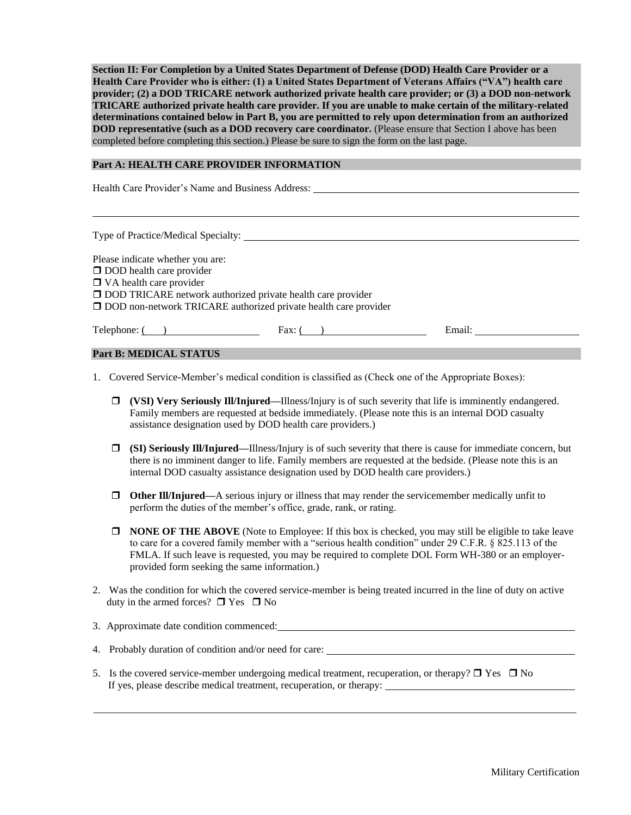**Section II: For Completion by a United States Department of Defense (DOD) Health Care Provider or a Health Care Provider who is either: (1) a United States Department of Veterans Affairs ("VA") health care provider; (2) a DOD TRICARE network authorized private health care provider; or (3) a DOD non-network TRICARE authorized private health care provider. If you are unable to make certain of the military-related determinations contained below in Part B, you are permitted to rely upon determination from an authorized DOD representative (such as a DOD recovery care coordinator.** (Please ensure that Section I above has been completed before completing this section.) Please be sure to sign the form on the last page.

# **Part A: HEALTH CARE PROVIDER INFORMATION**

Health Care Provider's Name and Business Address:

Type of Practice/Medical Specialty:

Please indicate whether you are:

**DOD** health care provider

□ VA health care provider

 $\Box$  DOD TRICARE network authorized private health care provider

DOD non-network TRICARE authorized private health care provider

| $\mathbf{r}$<br>--<br>____ | Fax:<br>- |  |
|----------------------------|-----------|--|
|                            |           |  |

### **Part B: MEDICAL STATUS**

- 1. Covered Service-Member's medical condition is classified as (Check one of the Appropriate Boxes):
	- **(VSI) Very Seriously Ill/Injured—**Illness/Injury is of such severity that life is imminently endangered. Family members are requested at bedside immediately. (Please note this is an internal DOD casualty assistance designation used by DOD health care providers.)
	- **(SI) Seriously Ill/Injured—**Illness/Injury is of such severity that there is cause for immediate concern, but there is no imminent danger to life. Family members are requested at the bedside. (Please note this is an internal DOD casualty assistance designation used by DOD health care providers.)
	- **Other Ill/Injured—**A serious injury or illness that may render the servicemember medically unfit to perform the duties of the member's office, grade, rank, or rating.
	- **I** NONE OF THE ABOVE (Note to Employee: If this box is checked, you may still be eligible to take leave to care for a covered family member with a "serious health condition" under 29 C.F.R. § 825.113 of the FMLA. If such leave is requested, you may be required to complete DOL Form WH-380 or an employerprovided form seeking the same information.)
- 2. Was the condition for which the covered service-member is being treated incurred in the line of duty on active duty in the armed forces?  $\Box$  Yes  $\Box$  No
- 3. Approximate date condition commenced:
- 4. Probably duration of condition and/or need for care:
- 5. Is the covered service-member undergoing medical treatment, recuperation, or therapy?  $\Box$  Yes  $\Box$  No If yes, please describe medical treatment, recuperation, or therapy:

\_\_\_\_\_\_\_\_\_\_\_\_\_\_\_\_\_\_\_\_\_\_\_\_\_\_\_\_\_\_\_\_\_\_\_\_\_\_\_\_\_\_\_\_\_\_\_\_\_\_\_\_\_\_\_\_\_\_\_\_\_\_\_\_\_\_\_\_\_\_\_\_\_\_\_\_\_\_\_\_\_\_\_\_\_\_\_\_\_\_\_\_\_